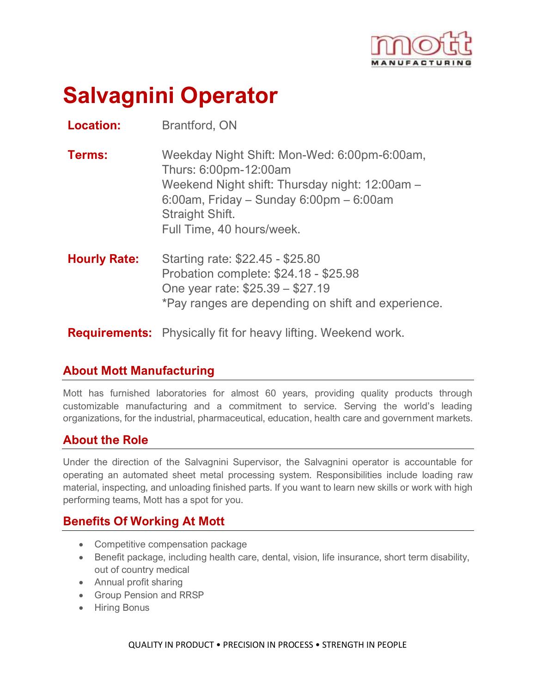

# **Salvagnini Operator**

**Location:** Brantford, ON

**Terms:** Weekday Night Shift: Mon-Wed: 6:00pm-6:00am, Thurs: 6:00pm-12:00am Weekend Night shift: Thursday night: 12:00am – 6:00am, Friday – Sunday 6:00pm – 6:00am Straight Shift. Full Time, 40 hours/week.

**Hourly Rate:** Starting rate: \$22.45 - \$25.80 Probation complete: \$24.18 - \$25.98 One year rate: \$25.39 – \$27.19 \*Pay ranges are depending on shift and experience.

**Requirements:** Physically fit for heavy lifting. Weekend work.

### **About Mott Manufacturing**

Mott has furnished laboratories for almost 60 years, providing quality products through customizable manufacturing and a commitment to service. Serving the world's leading organizations, for the industrial, pharmaceutical, education, health care and government markets.

### **About the Role**

Under the direction of the Salvagnini Supervisor, the Salvagnini operator is accountable for operating an automated sheet metal processing system. Responsibilities include loading raw material, inspecting, and unloading finished parts. If you want to learn new skills or work with high performing teams, Mott has a spot for you.

### **Benefits Of Working At Mott**

- Competitive compensation package
- Benefit package, including health care, dental, vision, life insurance, short term disability, out of country medical
- Annual profit sharing
- Group Pension and RRSP
- Hiring Bonus